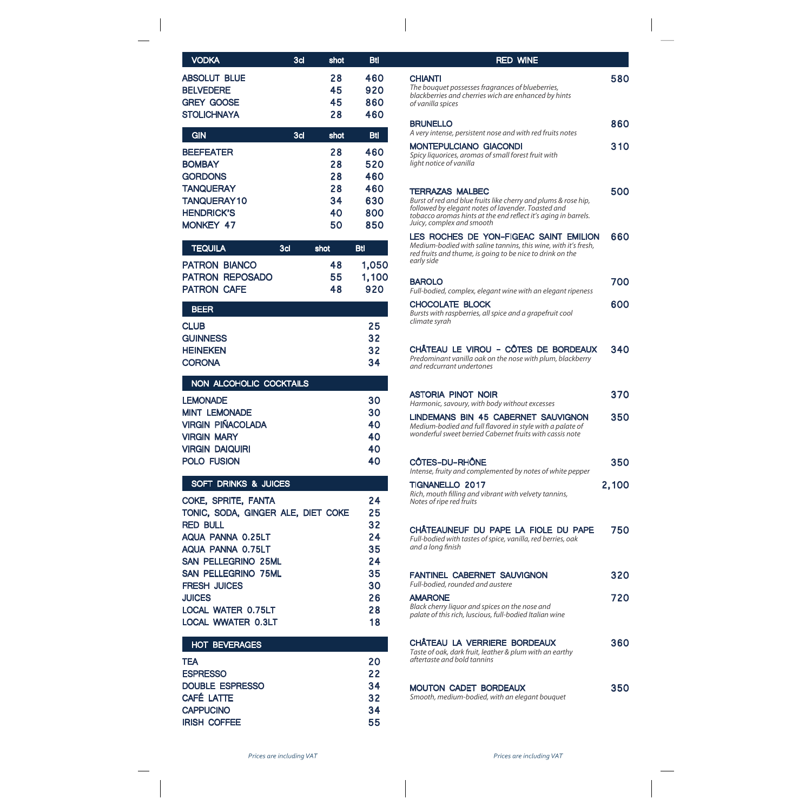| <b>ABSOLUT BLUE</b><br><b>BELVEDERE</b><br><b>GREY GOOSE</b><br><b>STOLICHNAYA</b>                                                                                                                                                                                                   | 28<br>45<br>45<br>28                   | 460<br>920<br>860<br>460                                       |
|--------------------------------------------------------------------------------------------------------------------------------------------------------------------------------------------------------------------------------------------------------------------------------------|----------------------------------------|----------------------------------------------------------------|
| <b>GIN</b><br>3d                                                                                                                                                                                                                                                                     | shot                                   | <b>Btl</b>                                                     |
| <b>BEEFEATER</b><br><b>BOMBAY</b><br><b>GORDONS</b><br><b>TANQUERAY</b><br><b>TANQUERAY10</b><br><b>HENDRICK'S</b><br><b>MONKEY 47</b>                                                                                                                                               | 28<br>28<br>28<br>28<br>34<br>40<br>50 | 460<br>520<br>460<br>460<br>630<br>800<br>850                  |
| <b>TEQUILA</b><br>3 <sub>d</sub>                                                                                                                                                                                                                                                     | shot                                   | <b>Btl</b>                                                     |
| <b>PATRON BIANCO</b><br><b>PATRON</b><br><b>REPOSADO</b><br><b>PATRON CAFE</b>                                                                                                                                                                                                       | 48<br>55<br>48                         | 1,050<br>1,100<br>920                                          |
| <b>BEER</b>                                                                                                                                                                                                                                                                          |                                        |                                                                |
| <b>CLUB</b><br><b>GUINNESS</b><br><b>HEINEKEN</b><br><b>CORONA</b>                                                                                                                                                                                                                   |                                        | 25<br>32<br>32<br>34                                           |
| NON ALCOHOLIC COCKTAILS                                                                                                                                                                                                                                                              |                                        |                                                                |
| <b>LEMONADE</b><br><b>MINT LEMONADE</b><br><b>VIRGIN PIÑACOLADA</b><br><b>VIRGIN MARY</b><br><b>VIRGIN DAIQUIRI</b><br><b>POLO FUSION</b>                                                                                                                                            |                                        | 30<br>30<br>40<br>40<br>40<br>40                               |
| <b>SOFT DRINKS &amp; JUICES</b>                                                                                                                                                                                                                                                      |                                        |                                                                |
| COKE, SPRITE, FANTA<br>TONIC, SODA, GINGER ALE, DIET COKE<br><b>RED BULL</b><br>AQUA PANNA 0.25LT<br>AQUA PANNA 0.75LT<br><b>SAN PELLEGRINO 25ML</b><br><b>SAN PELLEGRINO 75ML</b><br><b>FRESH JUICES</b><br><b>JUICES</b><br><b>LOCAL WATER 0.75LT</b><br><b>LOCAL WWATER 0.3LT</b> |                                        | 24<br>25<br>32<br>24<br>35<br>24<br>35<br>30<br>26<br>28<br>18 |
| <b>HOT BEVERAGES</b>                                                                                                                                                                                                                                                                 |                                        |                                                                |
| <b>TEA</b><br><b>ESPRESSO</b><br><b>DOUBLE ESPRESSO</b><br>CAFÉ LATTE<br><b>CAPPUCINO</b><br><b>IRISH COFFEE</b>                                                                                                                                                                     |                                        | 20<br>22<br>34<br>32<br>34<br>55                               |

3cl shot Btl

**VODKA** 

## **CHIANTI** BRUNELLO MONTEPULCIANO GIACONDI TERRAZAS MALBEC LES ROCHES DE YON-FIGEAC SAINT EMILION BAROLO CHOCOLATE BLOCK CHÂTEAU LE VIROU - CÔTES DE BORDEAUX ASTORIA PINOT NOIR LINDEMANS BIN 45 CABERNET SAUVIGNON CÔTES-DU-RHÔNE TIGNANELLO 2017 CHÂTEAUNEUF DU PAPE LA FIOLE DU PAPE FANTINEL CABERNET SAUVIGNON AMARONE CHÂTEAU LA VERRIERE BORDEAUX MOUTON CADET BORDEAUX 580 860 310 500 660 700 600 340 370 350 350 2,100 750 320 720 360 350 RED WINE *The bouquet possesses fragrances of blueberries, A very intense, persistent nose and with red fruits notes Spicy liquorices, aromas of small forest fruit with Burst of red and blue fruits like cherry and plums & rose hip, Medium-bodied with saline tannins, this wine, with it's fresh, Full-bodied, complex, elegant wine with an elegant ripeness Bursts with raspberries, all spice and a grapefruit cool Predominant vanilla oak on the nose with plum, blackberry Harmonic, savoury, with body without excesses Medium-bodied and full avored in style with a palate of Intense, fruity and complemented by notes of white pepper Rich, mouth lling and vibrant with velvety tannins, Full-bodied with tastes of spice, vanilla, red berries, oak Full-bodied, rounded and austere Black cherry liquor and spices on the nose and Taste of oak, dark fruit, leather & plum with an earthy Smooth, medium-bodied, with an elegant bouquet blackberries and cherries wich are enhanced by hints light notice of vanilla followed by elegant notes of lavender. Toasted and red fruits and thume, is going to be nice to drink on the climate syrah and redcurrant undertones wonderful sweet berried Cabernet fruits with cassis note Notes of ripe red fruits* and a long finish *palate of this rich, luscious, full-bodied Italian wine aftertaste and bold tannins of vanilla spices tobacco aromas hints at the end reect it's aging in barrels. early side Juicy, complex and smooth*